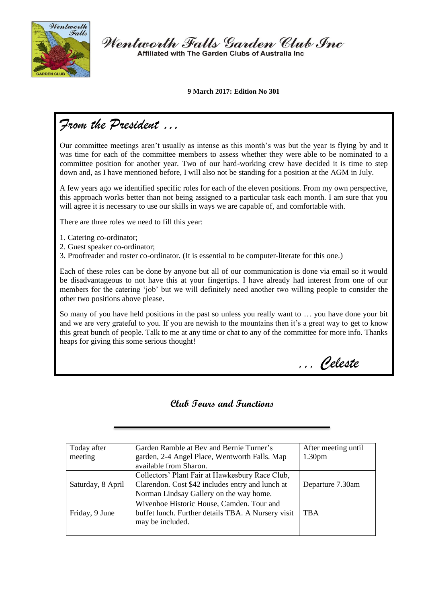

Wentworth Falls Garden Club Inc Affiliated with The Garden Clubs of Australia Inc.

**9 March 2017: Edition No 301**

# *From the President …*

Our committee meetings aren't usually as intense as this month's was but the year is flying by and it was time for each of the committee members to assess whether they were able to be nominated to a committee position for another year. Two of our hard-working crew have decided it is time to step down and, as I have mentioned before, I will also not be standing for a position at the AGM in July.

A few years ago we identified specific roles for each of the eleven positions. From my own perspective, this approach works better than not being assigned to a particular task each month. I am sure that you will agree it is necessary to use our skills in ways we are capable of, and comfortable with.

There are three roles we need to fill this year:

- 1. Catering co-ordinator;
- 2. Guest speaker co-ordinator;
- 3. Proofreader and roster co-ordinator. (It is essential to be computer-literate for this one.)

Each of these roles can be done by anyone but all of our communication is done via email so it would be disadvantageous to not have this at your fingertips. I have already had interest from one of our members for the catering 'job' but we will definitely need another two willing people to consider the other two positions above please.

So many of you have held positions in the past so unless you really want to … you have done your bit and we are very grateful to you. If you are newish to the mountains then it's a great way to get to know this great bunch of people. Talk to me at any time or chat to any of the committee for more info. Thanks heaps for giving this some serious thought!

*,,, Celeste*

#### **Club Tours and Functions**

| Today after       | Garden Ramble at Bev and Bernie Turner's           | After meeting until |
|-------------------|----------------------------------------------------|---------------------|
| meeting           | garden, 2-4 Angel Place, Wentworth Falls. Map      | 1.30 <sub>pm</sub>  |
|                   | available from Sharon.                             |                     |
|                   | Collectors' Plant Fair at Hawkesbury Race Club,    |                     |
| Saturday, 8 April | Clarendon. Cost \$42 includes entry and lunch at   | Departure 7.30am    |
|                   | Norman Lindsay Gallery on the way home.            |                     |
|                   | Wivenhoe Historic House, Camden. Tour and          |                     |
| Friday, 9 June    | buffet lunch. Further details TBA. A Nursery visit | <b>TBA</b>          |
|                   | may be included.                                   |                     |
|                   |                                                    |                     |